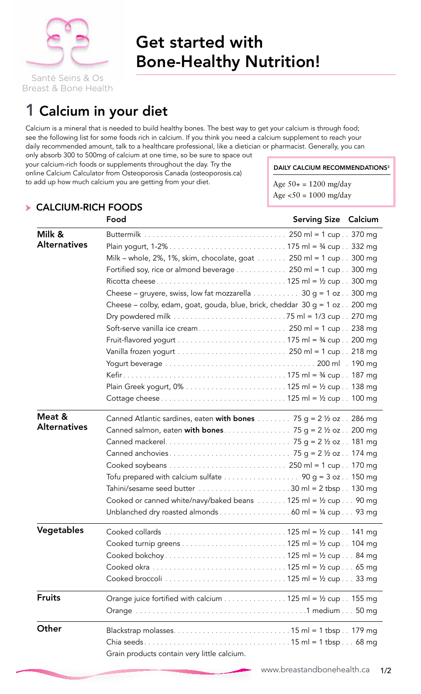

# Get started with Bone-Healthy Nutrition!

Breast & Bone Health

# 1 Calcium in your diet

Calcium is a mineral that is needed to build healthy bones. The best way to get your calcium is through food; see the following list for some foods rich in calcium. If you think you need a calcium supplement to reach your daily recommended amount, talk to a healthcare professional, like a dietician or pharmacist. Generally, you can

only absorb 300 to 500mg of calcium at one time, so be sure to space out your calcium-rich foods or supplements throughout the day. Try the online Calcium Calculator from Osteoporosis Canada (osteoporosis.ca) to add up how much calcium you are getting from your diet.

DAILY CALCIUM RECOMMENDATIONS<sup>3</sup>

Age  $50+ = 1200$  mg/day Age  $50 = 1000$  mg/day

|                               | Food                                                                                                                                                                                                                                                                                                                                                                                                                                                                         | <b>Serving Size Calcium</b> |  |
|-------------------------------|------------------------------------------------------------------------------------------------------------------------------------------------------------------------------------------------------------------------------------------------------------------------------------------------------------------------------------------------------------------------------------------------------------------------------------------------------------------------------|-----------------------------|--|
| Milk &<br><b>Alternatives</b> | Milk – whole, 2%, 1%, skim, chocolate, goat 250 ml = 1 cup 300 mg<br>Fortified soy, rice or almond beverage $\dots \dots \dots \dots$ 250 ml = 1 cup $\dots$ 300 mg<br>Cheese – gruyere, swiss, low fat mozzarella 30 g = 1 oz 300 mg<br>Cheese – colby, edam, goat, gouda, blue, brick, cheddar $30 g = 1 oz$ . 200 mg<br>Vanilla frozen yogurt $\dots \dots \dots \dots \dots \dots \dots \dots$ 250 ml = 1 cup $\ldots$ 218 mg                                            |                             |  |
| Meat &<br><b>Alternatives</b> | Canned Atlantic sardines, eaten <b>with bones</b> 75 g = 2 $\frac{1}{2}$ oz 286 mg<br>Tofu prepared with calcium sulfate $\ldots \ldots \ldots \ldots \ldots$ 90 g = 3 oz $\ldots$ 150 mg<br>Tahini/sesame seed butter $\ldots \ldots \ldots \ldots \ldots \ldots \ldots 30$ ml = 2 tbsp $\ldots$ 130 mg<br>Cooked or canned white/navy/baked beans $\dots \dots 125$ ml = $\frac{1}{2}$ cup $\dots$ 90 mg<br>Unblanched dry roasted almonds 60 ml = $\frac{1}{4}$ cup 93 mg |                             |  |
| Vegetables                    | Cooked collards $\ldots \ldots \ldots \ldots \ldots \ldots \ldots \ldots \ldots \ldots 125$ ml = 1/2 cup $\ldots$ 141 mg                                                                                                                                                                                                                                                                                                                                                     |                             |  |
| <b>Fruits</b>                 | Orange juice fortified with calcium 125 ml = $1/2$ cup 155 mg                                                                                                                                                                                                                                                                                                                                                                                                                |                             |  |
| Other                         | Grain products contain very little calcium.                                                                                                                                                                                                                                                                                                                                                                                                                                  |                             |  |

### Calcium-Rich Foods